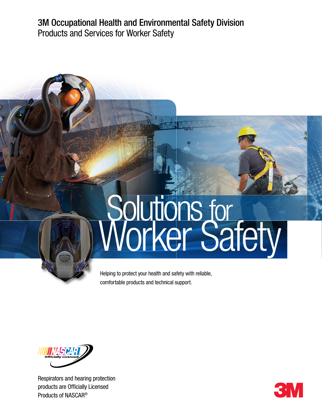3M Occupational Health and Environmental Safety Division Products and Services for Worker Safety

# Solutions for<br>Vorker Safety

Helping to protect your health and safety with reliable, comfortable products and technical support.



Respirators and hearing protection products are Officially Licensed Products of NASCAR®